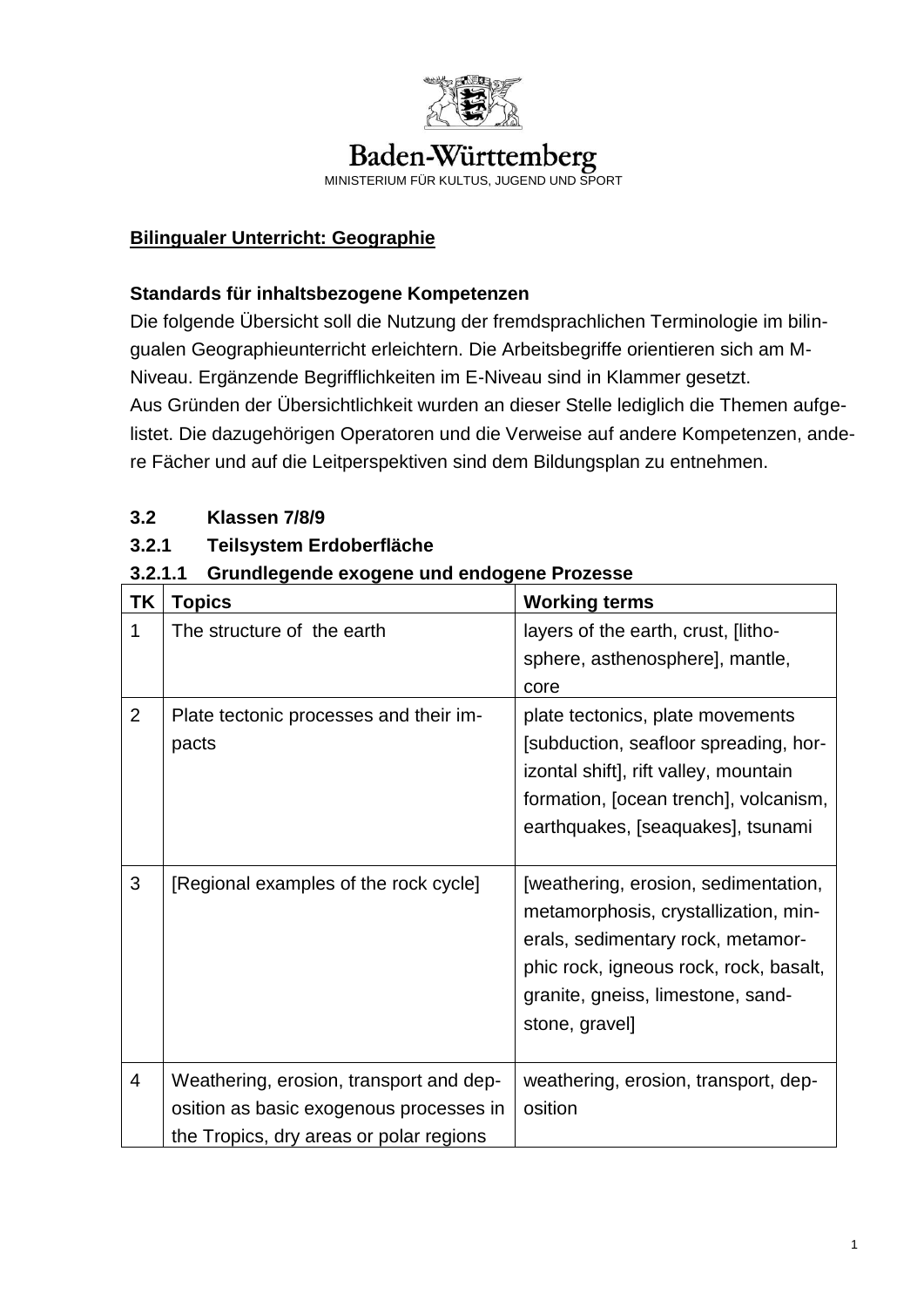

# Baden-Württemberg

MINISTERIUM FÜR KULTUS, JUGEND UND SPORT

## **Bilingualer Unterricht: Geographie**

#### **Standards für inhaltsbezogene Kompetenzen**

Die folgende Übersicht soll die Nutzung der fremdsprachlichen Terminologie im bilingualen Geographieunterricht erleichtern. Die Arbeitsbegriffe orientieren sich am M-Niveau. Ergänzende Begrifflichkeiten im E-Niveau sind in Klammer gesetzt. Aus Gründen der Übersichtlichkeit wurden an dieser Stelle lediglich die Themen aufgelistet. Die dazugehörigen Operatoren und die Verweise auf andere Kompetenzen, andere Fächer und auf die Leitperspektiven sind dem Bildungsplan zu entnehmen.

## **3.2 Klassen 7/8/9**

## **3.2.1 Teilsystem Erdoberfläche**

## **3.2.1.1 Grundlegende exogene und endogene Prozesse**

| TK             | <b>Topics</b>                                                                                                                 | <b>Working terms</b>                                                                                                                                                                                              |
|----------------|-------------------------------------------------------------------------------------------------------------------------------|-------------------------------------------------------------------------------------------------------------------------------------------------------------------------------------------------------------------|
| 1              | The structure of the earth                                                                                                    | layers of the earth, crust, [litho-<br>sphere, asthenosphere], mantle,<br>core                                                                                                                                    |
| $\overline{2}$ | Plate tectonic processes and their im-<br>pacts                                                                               | plate tectonics, plate movements<br>[subduction, seafloor spreading, hor-<br>izontal shift], rift valley, mountain<br>formation, [ocean trench], volcanism,<br>earthquakes, [seaquakes], tsunami                  |
| 3              | [Regional examples of the rock cycle]                                                                                         | [weathering, erosion, sedimentation,<br>metamorphosis, crystallization, min-<br>erals, sedimentary rock, metamor-<br>phic rock, igneous rock, rock, basalt,<br>granite, gneiss, limestone, sand-<br>stone, gravel |
| $\overline{4}$ | Weathering, erosion, transport and dep-<br>osition as basic exogenous processes in<br>the Tropics, dry areas or polar regions | weathering, erosion, transport, dep-<br>osition                                                                                                                                                                   |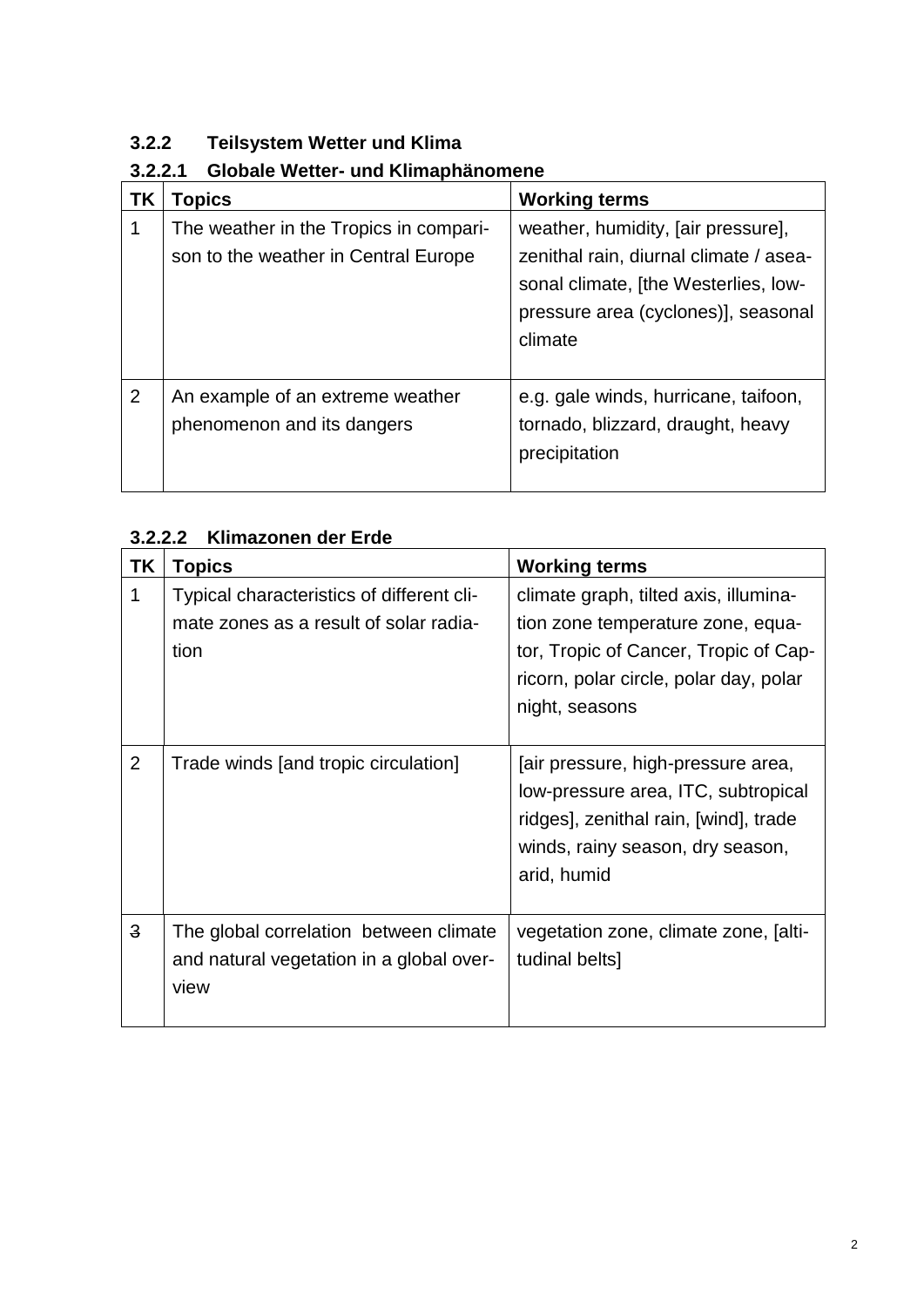# **3.2.2 Teilsystem Wetter und Klima**

# **3.2.2.1 Globale Wetter- und Klimaphänomene**

| ΤK | Topics                                                                         | <b>Working terms</b>                                                                                                                                                   |
|----|--------------------------------------------------------------------------------|------------------------------------------------------------------------------------------------------------------------------------------------------------------------|
| 1  | The weather in the Tropics in compari-<br>son to the weather in Central Europe | weather, humidity, [air pressure],<br>zenithal rain, diurnal climate / asea-<br>sonal climate, [the Westerlies, low-<br>pressure area (cyclones)], seasonal<br>climate |
| 2  | An example of an extreme weather<br>phenomenon and its dangers                 | e.g. gale winds, hurricane, taifoon,<br>tornado, blizzard, draught, heavy<br>precipitation                                                                             |

## **3.2.2.2 Klimazonen der Erde**

| TK             | <b>Topics</b>                                                                               | <b>Working terms</b>                                                                                                                                                            |
|----------------|---------------------------------------------------------------------------------------------|---------------------------------------------------------------------------------------------------------------------------------------------------------------------------------|
| 1              | Typical characteristics of different cli-<br>mate zones as a result of solar radia-<br>tion | climate graph, tilted axis, illumina-<br>tion zone temperature zone, equa-<br>tor, Tropic of Cancer, Tropic of Cap-<br>ricorn, polar circle, polar day, polar<br>night, seasons |
| $\overline{2}$ | Trade winds [and tropic circulation]                                                        | air pressure, high-pressure area,<br>low-pressure area, ITC, subtropical<br>ridges], zenithal rain, [wind], trade<br>winds, rainy season, dry season,<br>arid, humid            |
| $\overline{3}$ | The global correlation between climate<br>and natural vegetation in a global over-<br>view  | vegetation zone, climate zone, [alti-<br>tudinal belts]                                                                                                                         |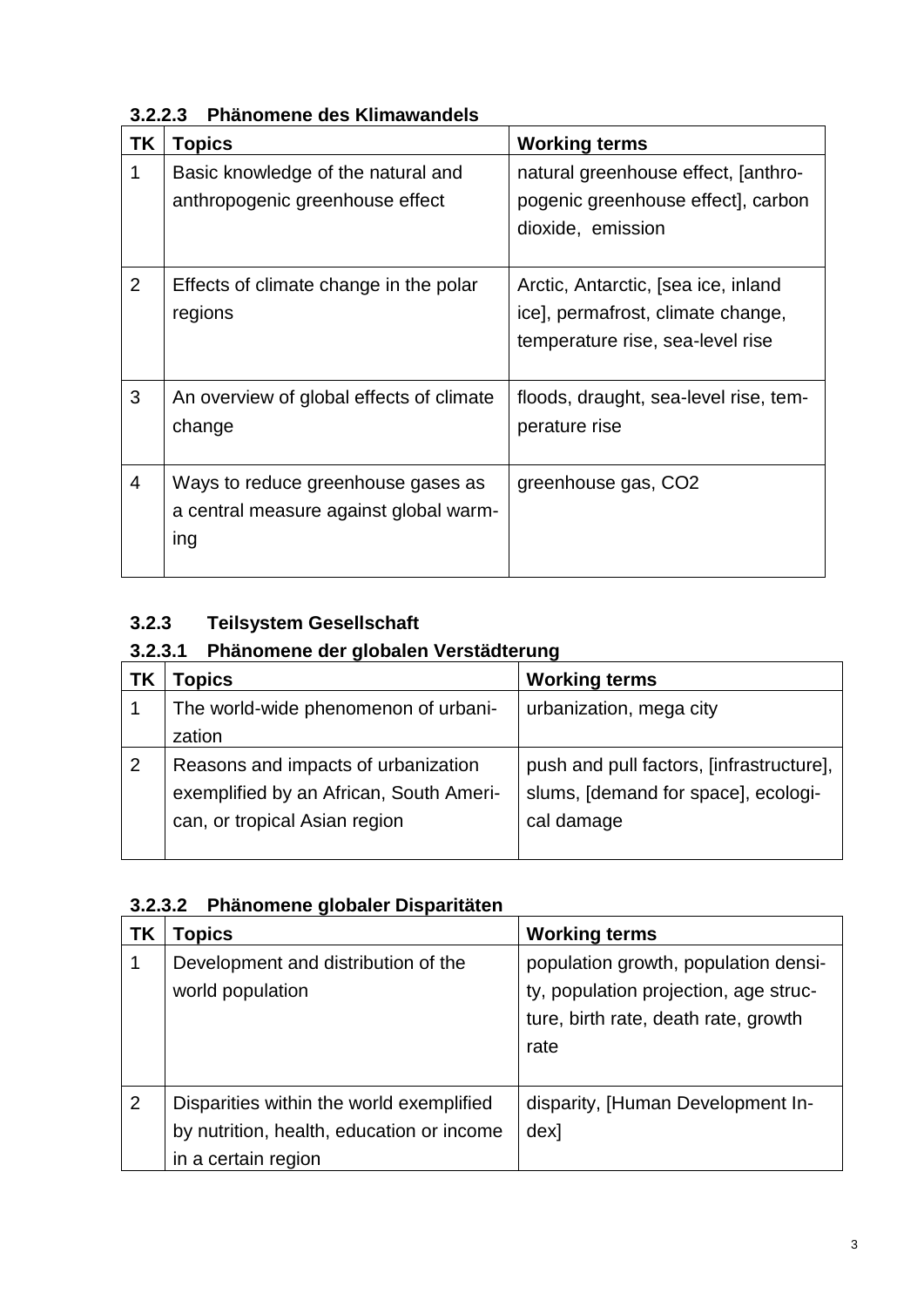| ΤK             | <b>Topics</b>                                                                       | <b>Working terms</b>                                                                                         |
|----------------|-------------------------------------------------------------------------------------|--------------------------------------------------------------------------------------------------------------|
| 1              | Basic knowledge of the natural and<br>anthropogenic greenhouse effect               | natural greenhouse effect, [anthro-<br>pogenic greenhouse effect], carbon<br>dioxide, emission               |
| $\overline{2}$ | Effects of climate change in the polar<br>regions                                   | Arctic, Antarctic, [sea ice, inland<br>ice], permafrost, climate change,<br>temperature rise, sea-level rise |
| 3              | An overview of global effects of climate<br>change                                  | floods, draught, sea-level rise, tem-<br>perature rise                                                       |
| $\overline{4}$ | Ways to reduce greenhouse gases as<br>a central measure against global warm-<br>ing | greenhouse gas, CO2                                                                                          |

**3.2.2.3 Phänomene des Klimawandels**

# **3.2.3 Teilsystem Gesellschaft**

# **3.2.3.1 Phänomene der globalen Verstädterung**

|   | <b>Topics</b>                           | <b>Working terms</b>                     |
|---|-----------------------------------------|------------------------------------------|
|   | The world-wide phenomenon of urbani-    | urbanization, mega city                  |
|   | zation                                  |                                          |
| 2 | Reasons and impacts of urbanization     | push and pull factors, [infrastructure], |
|   | exemplified by an African, South Ameri- | slums, [demand for space], ecologi-      |
|   | can, or tropical Asian region           | cal damage                               |
|   |                                         |                                          |

|  | 3.2.3.2 Phänomene globaler Disparitäten |  |  |
|--|-----------------------------------------|--|--|
|--|-----------------------------------------|--|--|

| <b>TK</b> | Topics                                                                                                       | <b>Working terms</b>                                                                                                          |
|-----------|--------------------------------------------------------------------------------------------------------------|-------------------------------------------------------------------------------------------------------------------------------|
|           | Development and distribution of the<br>world population                                                      | population growth, population densi-<br>ty, population projection, age struc-<br>ture, birth rate, death rate, growth<br>rate |
| 2         | Disparities within the world exemplified<br>by nutrition, health, education or income<br>in a certain region | disparity, [Human Development In-<br>dex]                                                                                     |